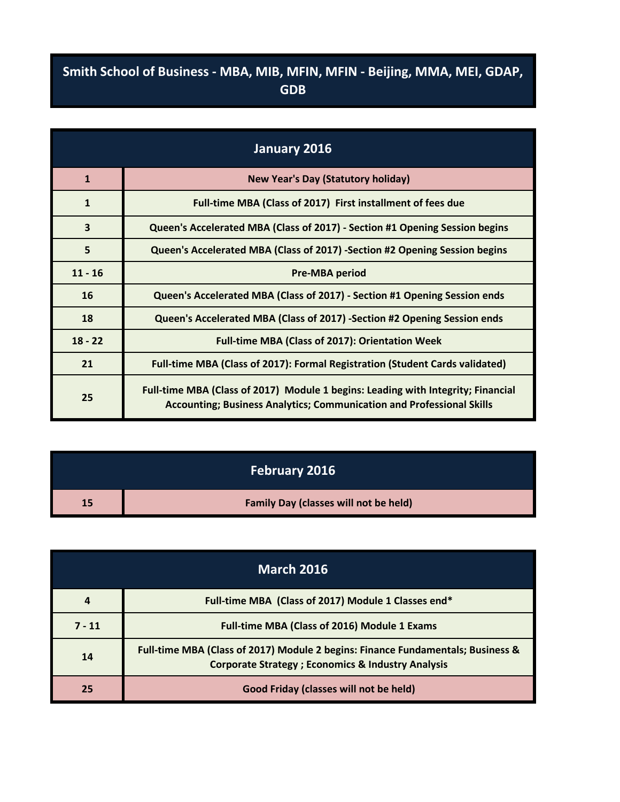## **Smith School of Business - MBA, MIB, MFIN, MFIN - Beijing, MMA, MEI, GDAP, GDB**

| January 2016            |                                                                                                                                                                  |
|-------------------------|------------------------------------------------------------------------------------------------------------------------------------------------------------------|
| $\mathbf{1}$            | <b>New Year's Day (Statutory holiday)</b>                                                                                                                        |
| $\mathbf{1}$            | Full-time MBA (Class of 2017) First installment of fees due                                                                                                      |
| $\overline{\mathbf{3}}$ | Queen's Accelerated MBA (Class of 2017) - Section #1 Opening Session begins                                                                                      |
| 5                       | Queen's Accelerated MBA (Class of 2017) -Section #2 Opening Session begins                                                                                       |
| $11 - 16$               | <b>Pre-MBA period</b>                                                                                                                                            |
| 16                      | Queen's Accelerated MBA (Class of 2017) - Section #1 Opening Session ends                                                                                        |
| 18                      | Queen's Accelerated MBA (Class of 2017) -Section #2 Opening Session ends                                                                                         |
| $18 - 22$               | <b>Full-time MBA (Class of 2017): Orientation Week</b>                                                                                                           |
| 21                      | Full-time MBA (Class of 2017): Formal Registration (Student Cards validated)                                                                                     |
| 25                      | Full-time MBA (Class of 2017) Module 1 begins: Leading with Integrity; Financial<br><b>Accounting; Business Analytics; Communication and Professional Skills</b> |

|    | <b>February 2016</b>                         |
|----|----------------------------------------------|
| 15 | <b>Family Day (classes will not be held)</b> |

| <b>March 2016</b> |                                                                                                                                                  |
|-------------------|--------------------------------------------------------------------------------------------------------------------------------------------------|
| 4                 | Full-time MBA (Class of 2017) Module 1 Classes end*                                                                                              |
| $7 - 11$          | Full-time MBA (Class of 2016) Module 1 Exams                                                                                                     |
| 14                | Full-time MBA (Class of 2017) Module 2 begins: Finance Fundamentals; Business &<br><b>Corporate Strategy ; Economics &amp; Industry Analysis</b> |
| 25                | Good Friday (classes will not be held)                                                                                                           |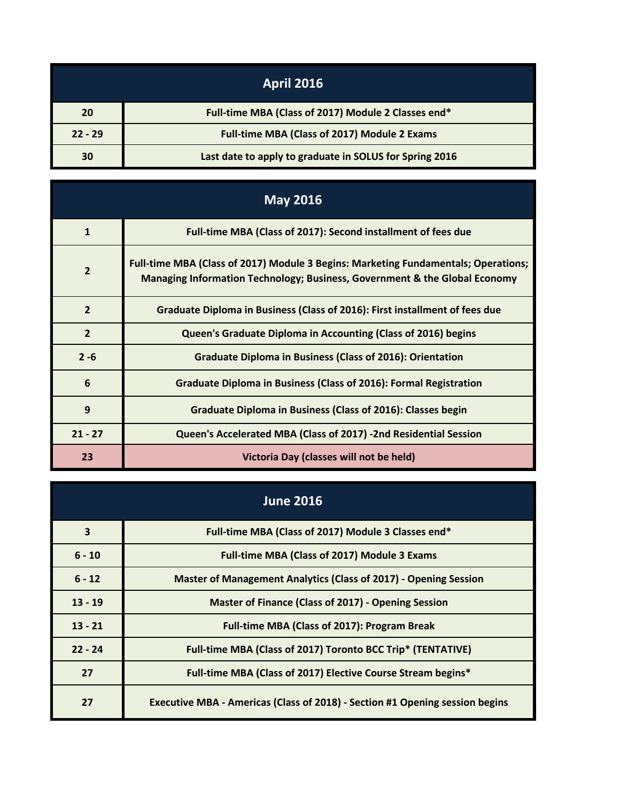|           | <b>April 2016</b>                                       |
|-----------|---------------------------------------------------------|
| 20        | Full-time MBA (Class of 2017) Module 2 Classes end*     |
| $22 - 29$ | Full-time MBA (Class of 2017) Module 2 Exams            |
| 30        | Last date to apply to graduate in SOLUS for Spring 2016 |

| <b>May 2016</b> |                                                                                                                                                                  |
|-----------------|------------------------------------------------------------------------------------------------------------------------------------------------------------------|
| $\mathbf{1}$    | Full-time MBA (Class of 2017): Second installment of fees due                                                                                                    |
| $\overline{2}$  | Full-time MBA (Class of 2017) Module 3 Begins: Marketing Fundamentals; Operations;<br>Managing Information Technology; Business, Government & the Global Economy |
| $\overline{2}$  | Graduate Diploma in Business (Class of 2016): First installment of fees due                                                                                      |
| $\overline{2}$  | Queen's Graduate Diploma in Accounting (Class of 2016) begins                                                                                                    |
| $2 - 6$         | <b>Graduate Diploma in Business (Class of 2016): Orientation</b>                                                                                                 |
| 6               | <b>Graduate Diploma in Business (Class of 2016): Formal Registration</b>                                                                                         |
| 9               | Graduate Diploma in Business (Class of 2016): Classes begin                                                                                                      |
| $21 - 27$       | Queen's Accelerated MBA (Class of 2017) -2nd Residential Session                                                                                                 |
| 23              | Victoria Day (classes will not be held)                                                                                                                          |

| <b>June 2016</b>        |                                                                              |
|-------------------------|------------------------------------------------------------------------------|
| $\overline{\mathbf{3}}$ | Full-time MBA (Class of 2017) Module 3 Classes end*                          |
| $6 - 10$                | <b>Full-time MBA (Class of 2017) Module 3 Exams</b>                          |
| $6 - 12$                | <b>Master of Management Analytics (Class of 2017) - Opening Session</b>      |
| $13 - 19$               | Master of Finance (Class of 2017) - Opening Session                          |
| $13 - 21$               | <b>Full-time MBA (Class of 2017): Program Break</b>                          |
| $22 - 24$               | Full-time MBA (Class of 2017) Toronto BCC Trip* (TENTATIVE)                  |
| 27                      | Full-time MBA (Class of 2017) Elective Course Stream begins*                 |
| 27                      | Executive MBA - Americas (Class of 2018) - Section #1 Opening session begins |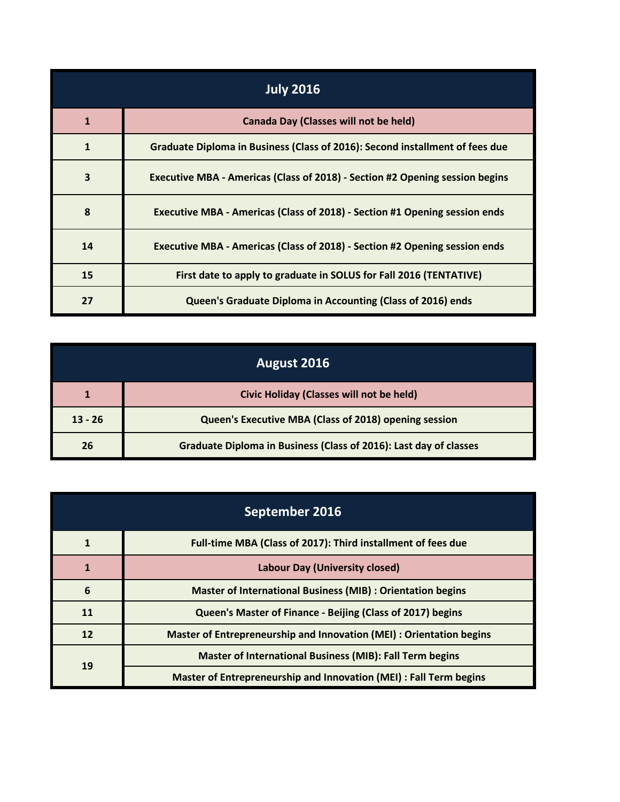| <b>July 2016</b>        |                                                                              |
|-------------------------|------------------------------------------------------------------------------|
| $\mathbf{1}$            | <b>Canada Day (Classes will not be held)</b>                                 |
| 1                       | Graduate Diploma in Business (Class of 2016): Second installment of fees due |
| $\overline{\mathbf{3}}$ | Executive MBA - Americas (Class of 2018) - Section #2 Opening session begins |
| 8                       | Executive MBA - Americas (Class of 2018) - Section #1 Opening session ends   |
| 14                      | Executive MBA - Americas (Class of 2018) - Section #2 Opening session ends   |
| 15                      | First date to apply to graduate in SOLUS for Fall 2016 (TENTATIVE)           |
| 27                      | Queen's Graduate Diploma in Accounting (Class of 2016) ends                  |

| August 2016 |                                                                   |
|-------------|-------------------------------------------------------------------|
|             | Civic Holiday (Classes will not be held)                          |
| $13 - 26$   | Queen's Executive MBA (Class of 2018) opening session             |
| 26          | Graduate Diploma in Business (Class of 2016): Last day of classes |

| September 2016 |                                                                      |
|----------------|----------------------------------------------------------------------|
|                | Full-time MBA (Class of 2017): Third installment of fees due         |
| $\mathbf{1}$   | <b>Labour Day (University closed)</b>                                |
| 6              | <b>Master of International Business (MIB) : Orientation begins</b>   |
| 11             | Queen's Master of Finance - Beijing (Class of 2017) begins           |
| 12             | Master of Entrepreneurship and Innovation (MEI) : Orientation begins |
| 19             | <b>Master of International Business (MIB): Fall Term begins</b>      |
|                | Master of Entrepreneurship and Innovation (MEI) : Fall Term begins   |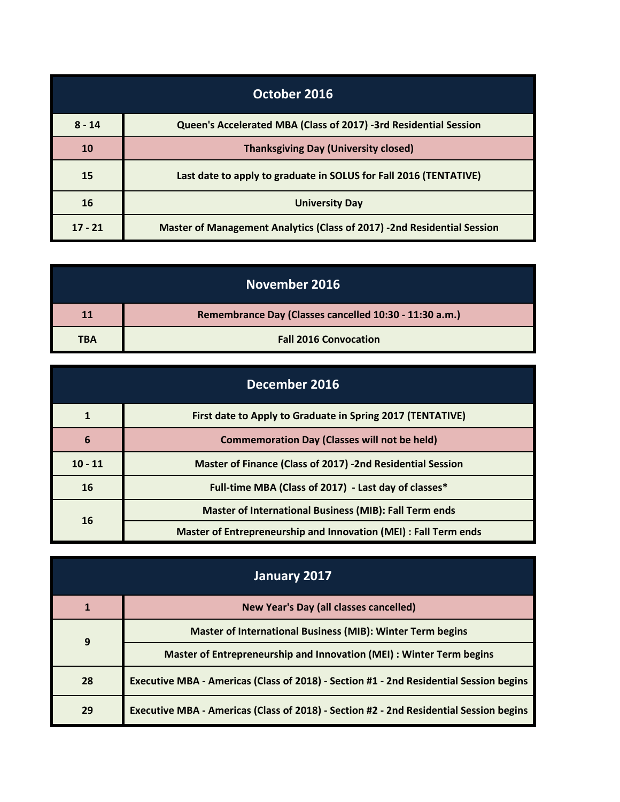| October 2016 |                                                                         |
|--------------|-------------------------------------------------------------------------|
| $8 - 14$     | Queen's Accelerated MBA (Class of 2017) -3rd Residential Session        |
| 10           | <b>Thanksgiving Day (University closed)</b>                             |
| 15           | Last date to apply to graduate in SOLUS for Fall 2016 (TENTATIVE)       |
| 16           | <b>University Day</b>                                                   |
| $17 - 21$    | Master of Management Analytics (Class of 2017) -2nd Residential Session |

| November 2016 |                                                        |
|---------------|--------------------------------------------------------|
| <b>11</b>     | Remembrance Day (Classes cancelled 10:30 - 11:30 a.m.) |
| <b>TBA</b>    | <b>Fall 2016 Convocation</b>                           |

| December 2016 |                                                                   |
|---------------|-------------------------------------------------------------------|
|               | First date to Apply to Graduate in Spring 2017 (TENTATIVE)        |
| 6             | <b>Commemoration Day (Classes will not be held)</b>               |
| $10 - 11$     | <b>Master of Finance (Class of 2017) -2nd Residential Session</b> |
| 16            | Full-time MBA (Class of 2017) - Last day of classes*              |
| 16            | <b>Master of International Business (MIB): Fall Term ends</b>     |
|               | Master of Entrepreneurship and Innovation (MEI) : Fall Term ends  |

| January 2017 |                                                                                        |
|--------------|----------------------------------------------------------------------------------------|
|              | New Year's Day (all classes cancelled)                                                 |
| 9            | <b>Master of International Business (MIB): Winter Term begins</b>                      |
|              | Master of Entrepreneurship and Innovation (MEI) : Winter Term begins                   |
| 28           | Executive MBA - Americas (Class of 2018) - Section #1 - 2nd Residential Session begins |
| 29           | Executive MBA - Americas (Class of 2018) - Section #2 - 2nd Residential Session begins |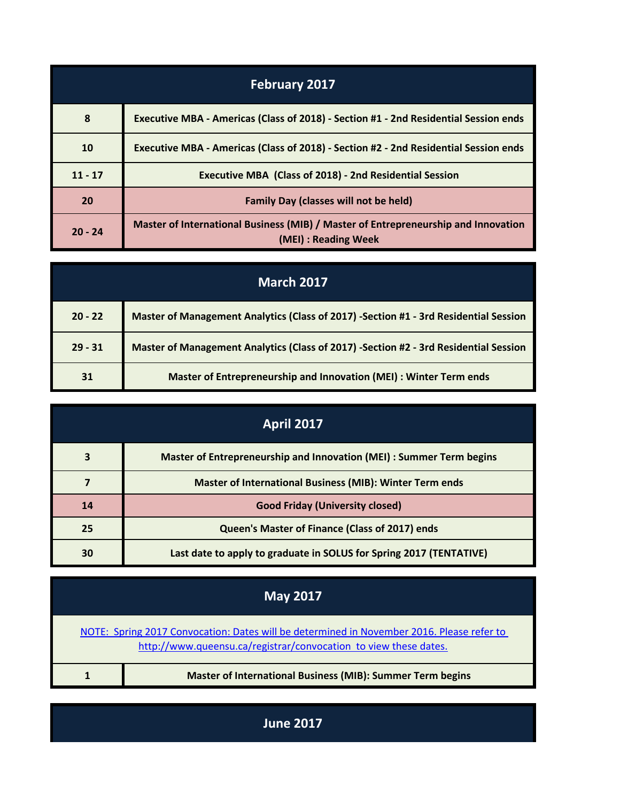| <b>February 2017</b> |                                                                                                            |
|----------------------|------------------------------------------------------------------------------------------------------------|
| 8                    | Executive MBA - Americas (Class of 2018) - Section #1 - 2nd Residential Session ends                       |
| 10                   | Executive MBA - Americas (Class of 2018) - Section #2 - 2nd Residential Session ends                       |
| $11 - 17$            | <b>Executive MBA (Class of 2018) - 2nd Residential Session</b>                                             |
| 20                   | <b>Family Day (classes will not be held)</b>                                                               |
| $20 - 24$            | Master of International Business (MIB) / Master of Entrepreneurship and Innovation<br>(MEI) : Reading Week |

| <b>March 2017</b> |                                                                                      |
|-------------------|--------------------------------------------------------------------------------------|
| $20 - 22$         | Master of Management Analytics (Class of 2017) -Section #1 - 3rd Residential Session |
| $29 - 31$         | Master of Management Analytics (Class of 2017) -Section #2 - 3rd Residential Session |
| 31                | Master of Entrepreneurship and Innovation (MEI) : Winter Term ends                   |

| <b>April 2017</b> |                                                                      |
|-------------------|----------------------------------------------------------------------|
| 3                 | Master of Entrepreneurship and Innovation (MEI) : Summer Term begins |
|                   | <b>Master of International Business (MIB): Winter Term ends</b>      |
| 14                | <b>Good Friday (University closed)</b>                               |
| 25                | Queen's Master of Finance (Class of 2017) ends                       |
| 30                | Last date to apply to graduate in SOLUS for Spring 2017 (TENTATIVE)  |

| <b>May 2017</b>                                                                                                                                               |                                                                   |
|---------------------------------------------------------------------------------------------------------------------------------------------------------------|-------------------------------------------------------------------|
| NOTE: Spring 2017 Convocation: Dates will be determined in November 2016. Please refer to<br>http://www.queensu.ca/registrar/convocation to view these dates. |                                                                   |
|                                                                                                                                                               | <b>Master of International Business (MIB): Summer Term begins</b> |

**June 2017**